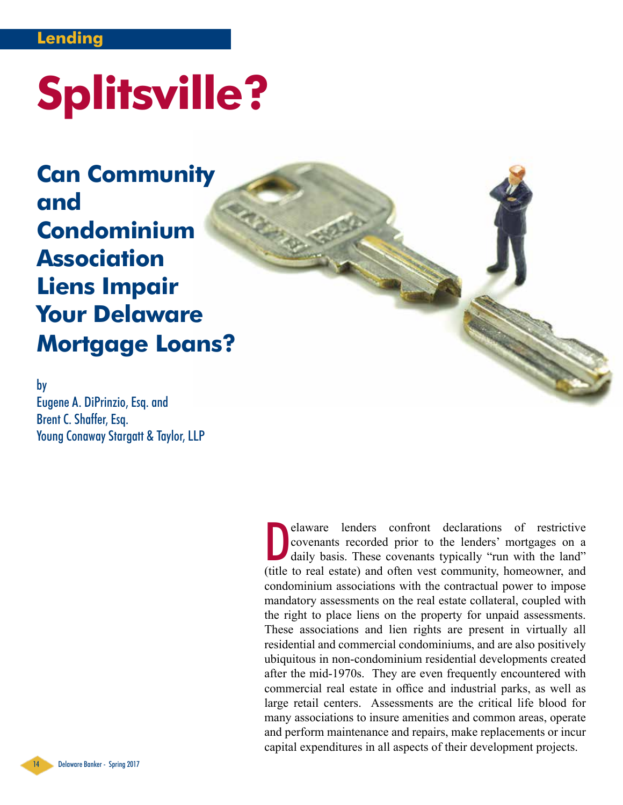### **Lending**

# **Splitsville?**

**Can Community and Condominium Association Liens Impair Your Delaware Mortgage Loans?**

by Eugene A. DiPrinzio, Esq. and

Brent C. Shaffer, Esq. Young Conaway Stargatt & Taylor, LLP

> elaware lenders confront declarations of restrictive covenants recorded prior to the lenders' mortgages on a daily basis. These covenants typically "run with the land" (title to real estate) and often vest community, homeo elaware lenders confront declarations of restrictive covenants recorded prior to the lenders' mortgages on a daily basis. These covenants typically "run with the land" condominium associations with the contractual power to impose mandatory assessments on the real estate collateral, coupled with the right to place liens on the property for unpaid assessments. These associations and lien rights are present in virtually all residential and commercial condominiums, and are also positively ubiquitous in non-condominium residential developments created after the mid-1970s. They are even frequently encountered with commercial real estate in office and industrial parks, as well as large retail centers. Assessments are the critical life blood for many associations to insure amenities and common areas, operate and perform maintenance and repairs, make replacements or incur capital expenditures in all aspects of their development projects.

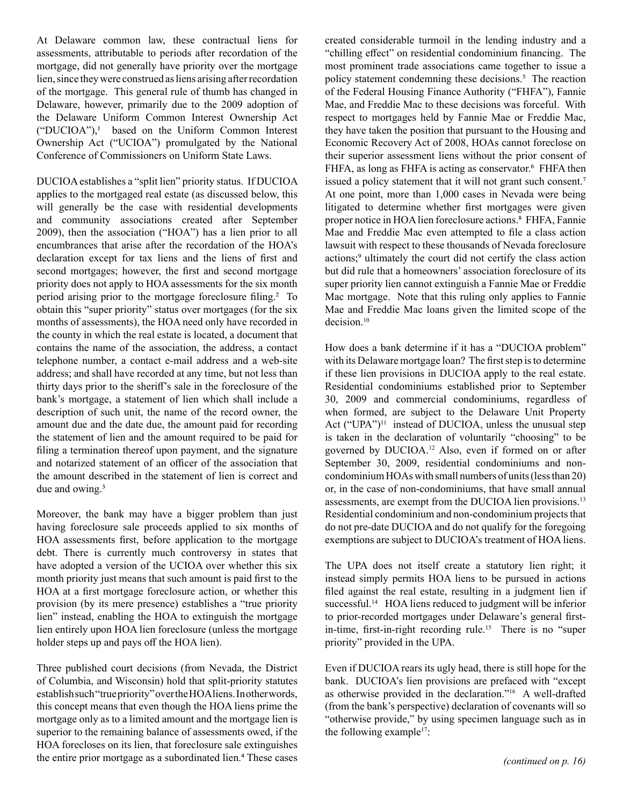At Delaware common law, these contractual liens for assessments, attributable to periods after recordation of the mortgage, did not generally have priority over the mortgage lien, since they were construed as liens arising after recordation of the mortgage. This general rule of thumb has changed in Delaware, however, primarily due to the 2009 adoption of the Delaware Uniform Common Interest Ownership Act ("DUCIOA"),1 based on the Uniform Common Interest Ownership Act ("UCIOA") promulgated by the National Conference of Commissioners on Uniform State Laws.

DUCIOA establishes a "split lien" priority status. If DUCIOA applies to the mortgaged real estate (as discussed below, this will generally be the case with residential developments and community associations created after September 2009), then the association ("HOA") has a lien prior to all encumbrances that arise after the recordation of the HOA's declaration except for tax liens and the liens of first and second mortgages; however, the first and second mortgage priority does not apply to HOA assessments for the six month period arising prior to the mortgage foreclosure filing.<sup>2</sup> To obtain this "super priority" status over mortgages (for the six months of assessments), the HOA need only have recorded in the county in which the real estate is located, a document that contains the name of the association, the address, a contact telephone number, a contact e-mail address and a web-site address; and shall have recorded at any time, but not less than thirty days prior to the sheriff's sale in the foreclosure of the bank's mortgage, a statement of lien which shall include a description of such unit, the name of the record owner, the amount due and the date due, the amount paid for recording the statement of lien and the amount required to be paid for filing a termination thereof upon payment, and the signature and notarized statement of an officer of the association that the amount described in the statement of lien is correct and due and owing.<sup>3</sup>

Moreover, the bank may have a bigger problem than just having foreclosure sale proceeds applied to six months of HOA assessments first, before application to the mortgage debt. There is currently much controversy in states that have adopted a version of the UCIOA over whether this six month priority just means that such amount is paid first to the HOA at a first mortgage foreclosure action, or whether this provision (by its mere presence) establishes a "true priority lien" instead, enabling the HOA to extinguish the mortgage lien entirely upon HOA lien foreclosure (unless the mortgage holder steps up and pays off the HOA lien).

Three published court decisions (from Nevada, the District of Columbia, and Wisconsin) hold that split-priority statutes establish such "true priority" over the HOA liens. In other words, this concept means that even though the HOA liens prime the mortgage only as to a limited amount and the mortgage lien is superior to the remaining balance of assessments owed, if the HOA forecloses on its lien, that foreclosure sale extinguishes the entire prior mortgage as a subordinated lien.<sup>4</sup> These cases created considerable turmoil in the lending industry and a "chilling effect" on residential condominium financing. The most prominent trade associations came together to issue a policy statement condemning these decisions.<sup>5</sup> The reaction of the Federal Housing Finance Authority ("FHFA"), Fannie Mae, and Freddie Mac to these decisions was forceful. With respect to mortgages held by Fannie Mae or Freddie Mac, they have taken the position that pursuant to the Housing and Economic Recovery Act of 2008, HOAs cannot foreclose on their superior assessment liens without the prior consent of FHFA, as long as FHFA is acting as conservator.<sup>6</sup> FHFA then issued a policy statement that it will not grant such consent.7 At one point, more than 1,000 cases in Nevada were being litigated to determine whether first mortgages were given proper notice in HOA lien foreclosure actions.<sup>8</sup> FHFA, Fannie Mae and Freddie Mac even attempted to file a class action lawsuit with respect to these thousands of Nevada foreclosure actions;<sup>9</sup> ultimately the court did not certify the class action but did rule that a homeowners' association foreclosure of its super priority lien cannot extinguish a Fannie Mae or Freddie Mac mortgage. Note that this ruling only applies to Fannie Mae and Freddie Mac loans given the limited scope of the decision.<sup>10</sup>

How does a bank determine if it has a "DUCIOA problem" with its Delaware mortgage loan? The first step is to determine if these lien provisions in DUCIOA apply to the real estate. Residential condominiums established prior to September 30, 2009 and commercial condominiums, regardless of when formed, are subject to the Delaware Unit Property Act ("UPA")<sup>11</sup> instead of DUCIOA, unless the unusual step is taken in the declaration of voluntarily "choosing" to be governed by DUCIOA.12 Also, even if formed on or after September 30, 2009, residential condominiums and noncondominium HOAs with small numbers of units (less than 20) or, in the case of non-condominiums, that have small annual assessments, are exempt from the DUCIOA lien provisions.13 Residential condominium and non-condominium projects that do not pre-date DUCIOA and do not qualify for the foregoing exemptions are subject to DUCIOA's treatment of HOA liens.

The UPA does not itself create a statutory lien right; it instead simply permits HOA liens to be pursued in actions filed against the real estate, resulting in a judgment lien if successful.<sup>14</sup> HOA liens reduced to judgment will be inferior to prior-recorded mortgages under Delaware's general firstin-time, first-in-right recording rule.15 There is no "super priority" provided in the UPA.

Even if DUCIOA rears its ugly head, there is still hope for the bank. DUCIOA's lien provisions are prefaced with "except as otherwise provided in the declaration."16 A well-drafted (from the bank's perspective) declaration of covenants will so "otherwise provide," by using specimen language such as in the following example<sup>17</sup>: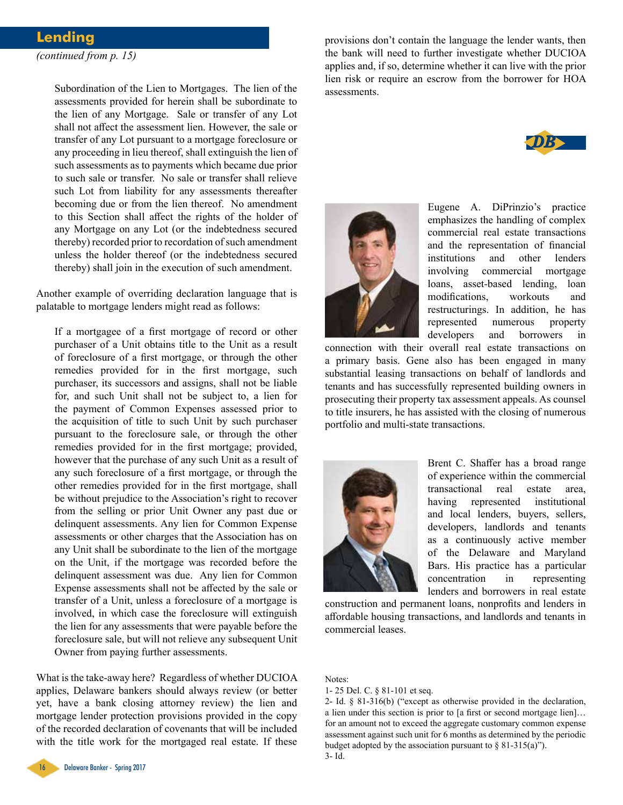### **Lending** *(continued from p. 15)*

Subordination of the Lien to Mortgages. The lien of the assessments provided for herein shall be subordinate to the lien of any Mortgage. Sale or transfer of any Lot shall not affect the assessment lien. However, the sale or transfer of any Lot pursuant to a mortgage foreclosure or any proceeding in lieu thereof, shall extinguish the lien of such assessments as to payments which became due prior to such sale or transfer. No sale or transfer shall relieve such Lot from liability for any assessments thereafter becoming due or from the lien thereof. No amendment to this Section shall affect the rights of the holder of any Mortgage on any Lot (or the indebtedness secured thereby) recorded prior to recordation of such amendment unless the holder thereof (or the indebtedness secured thereby) shall join in the execution of such amendment.

Another example of overriding declaration language that is palatable to mortgage lenders might read as follows:

If a mortgagee of a first mortgage of record or other purchaser of a Unit obtains title to the Unit as a result of foreclosure of a first mortgage, or through the other remedies provided for in the first mortgage, such purchaser, its successors and assigns, shall not be liable for, and such Unit shall not be subject to, a lien for the payment of Common Expenses assessed prior to the acquisition of title to such Unit by such purchaser pursuant to the foreclosure sale, or through the other remedies provided for in the first mortgage; provided, however that the purchase of any such Unit as a result of any such foreclosure of a first mortgage, or through the other remedies provided for in the first mortgage, shall be without prejudice to the Association's right to recover from the selling or prior Unit Owner any past due or delinquent assessments. Any lien for Common Expense assessments or other charges that the Association has on any Unit shall be subordinate to the lien of the mortgage on the Unit, if the mortgage was recorded before the delinquent assessment was due. Any lien for Common Expense assessments shall not be affected by the sale or transfer of a Unit, unless a foreclosure of a mortgage is involved, in which case the foreclosure will extinguish the lien for any assessments that were payable before the foreclosure sale, but will not relieve any subsequent Unit Owner from paying further assessments.

What is the take-away here? Regardless of whether DUCIOA applies, Delaware bankers should always review (or better yet, have a bank closing attorney review) the lien and mortgage lender protection provisions provided in the copy of the recorded declaration of covenants that will be included with the title work for the mortgaged real estate. If these

provisions don't contain the language the lender wants, then the bank will need to further investigate whether DUCIOA applies and, if so, determine whether it can live with the prior lien risk or require an escrow from the borrower for HOA assessments.





Eugene A. DiPrinzio's practice emphasizes the handling of complex commercial real estate transactions and the representation of financial institutions and other lenders involving commercial mortgage loans, asset-based lending, loan modifications, workouts and restructurings. In addition, he has represented numerous property developers and borrowers in

connection with their overall real estate transactions on a primary basis. Gene also has been engaged in many substantial leasing transactions on behalf of landlords and tenants and has successfully represented building owners in prosecuting their property tax assessment appeals. As counsel to title insurers, he has assisted with the closing of numerous portfolio and multi-state transactions.



Brent C. Shaffer has a broad range of experience within the commercial transactional real estate area, having represented institutional and local lenders, buyers, sellers, developers, landlords and tenants as a continuously active member of the Delaware and Maryland Bars. His practice has a particular concentration in representing lenders and borrowers in real estate

construction and permanent loans, nonprofits and lenders in affordable housing transactions, and landlords and tenants in commercial leases.

Notes:

2- Id. § 81-316(b) ("except as otherwise provided in the declaration, a lien under this section is prior to [a first or second mortgage lien]… for an amount not to exceed the aggregate customary common expense assessment against such unit for 6 months as determined by the periodic budget adopted by the association pursuant to  $\S$  81-315(a)"). 3- Id.



<sup>1- 25</sup> Del. C. § 81-101 et seq.